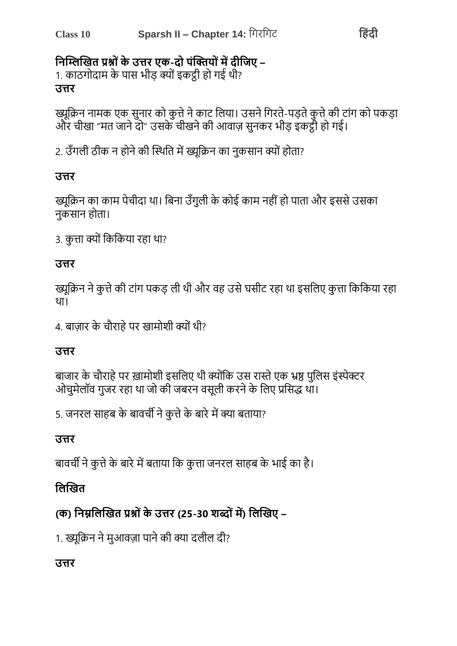## निम्लिखित प्रश्नों के उत्तर एक-दो पंक्तियों में दीजिए –

1. काठगोदाम के पास भीड़ क्यों इकट्ठी हो गई थी? उत्तर

ख्यूक्रिन नामक एक सुनार को कुत्ते ने काट लिया। उसने गिरते-पड़ते कुत्ते की टांग को पकड़ा और चीखा "मत जाने दो" उसके चीखने की आवाज़ सुनकर भीड़ इंकट्ठी हो गई।

2. उँगली ठीक न होने की स्थिति में ख्यूक्रिन का नुकसान क्यों होता?

#### उत्तर

ख्यूक्रिन का काम पेचीदा था। बिना उँगुली के कोई काम नहीं हो पाता और इससे उसका नकसान होता।

3. कत्ता क्यों किकिया रहा था?

#### उत्तर

ख्यूक्रिन ने कुत्ते की टांग पकड़ ली थी और वह उसे घसीट रहा था इसलिए कुत्ता किकिया रहा था।

4. बाज़ार के चौराहे पर खामोशी क्यों थी?

#### उत्तर

बाजार के चौराहे पर ख़ामोशी इसलिए थी क्योंकि उस रास्ते एक भ्रष्ठ पुलिस इंस्पेक्टर ओचुमेलॉव गुजर रहा था जो की जबरन वसूली करने के लिए प्रसिद्ध था।

5. जनरल साहब के बावर्ची ने कुत्ते के बारे में क्या बताया?

#### उत्तर

बावर्ची ने कृत्ते के बारे में बताया कि कृत्ता जनरल साहब के भाई का है।

## लिखित

## (क) निम्नलिखित प्रश्नों के उत्तर (25-30 शब्दों में) लिखिए –

1. ख्यूक्रिन ने मुआवज़ा पाने की क्या दलील दी?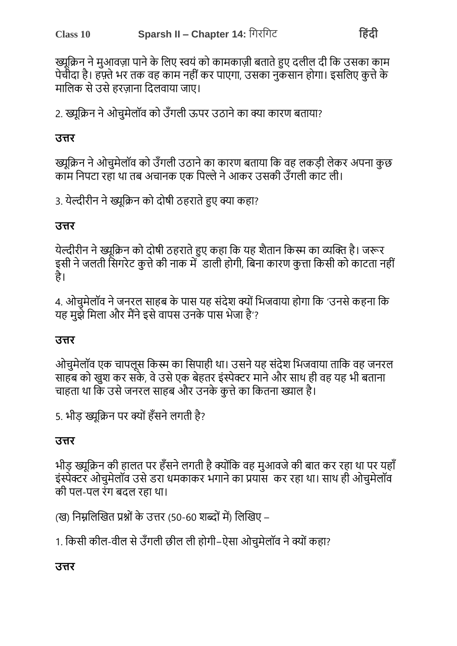ख्युक्रिन ने मुआवज़ा पाने के लिए स्वयं को कामकाज़ी बताते हुए दलील दी कि उसका काम पेचीदा है। हफ़्ते भर तक वह काम नहीं कर पाएगा, उसका नुकसान होगा। इसलिए कुत्ते के मालिक से उसे हरजाना दिलवाया जाए।

2. ख्युक्रिन ने ओचुमेलॉव को उँगली ऊपर उठाने का क्या कारण बताया?

#### उत्तर

ख्युक्रिन ने ओचुमेलॉव को उँगली उठाने का कारण बताया कि वह लकडी लेकर अपना कुछ काम निपटा रहाँ था तब अचानक एक पिल्ले ने आकर उसकी उँगली काँट ली।

3. येल्दीरीन ने ख्युक्रिन को दोषी ठहराते हुए क्या कहा?

#### उत्तर

येल्दीरीन ने ख्युक्रिन को दोषी ठहराते हुए कहा कि यह शैतान किस्म का व्यक्ति है। जरूर इसी ने जलती सिगरेट कत्ते की नाक में डाली होगी. बिना कारण कत्ता किसी को काटता नहीं है।

4. ओचुमेलॉव ने जनरल साहब के पास यह संदेश क्यों भिजवाया होगा कि 'उनसे कहना कि यह मुझे मिला और मैंने इसे वापस उनके पास भेजा है'?

#### उत्तर

ओचुमेलॉव एक चापलूस किस्म का सिपाही था। उसने यह संदेश भिजवाया ताकि वह जनरल साहब को खुश कर सके, वे उसे एक बेहतर इंस्पेक्टर माने और साथ ही वह यह भी बताना चाहता था कि उसे जनरल साहब और उनके कत्ते का कितना ख्याल है।

5. भीड़ ख्युक्रिन पर क्यों हँसने लगती है?

#### उत्तर

भीड़ ख्युक्रिन की हालत पर हँसने लगती है क्योंकि वह मुआवजे की बात कर रहा था पर यहाँ इंस्पेक्टर ओचुमेलॉव उसे डरा धमकाकर भगाने का प्रयाँस कर रहा था। साथ ही ओचुमेलॉव की पल-पल रंग बढल रहा था।

(ख) निम्नलिखित प्रश्नों के उत्तर (50-60 शब्दों में) लिखिए –

1. किसी कील-वील से उँगली छील ली होगी-ऐसा ओचमेलॉव ने क्यों कहा?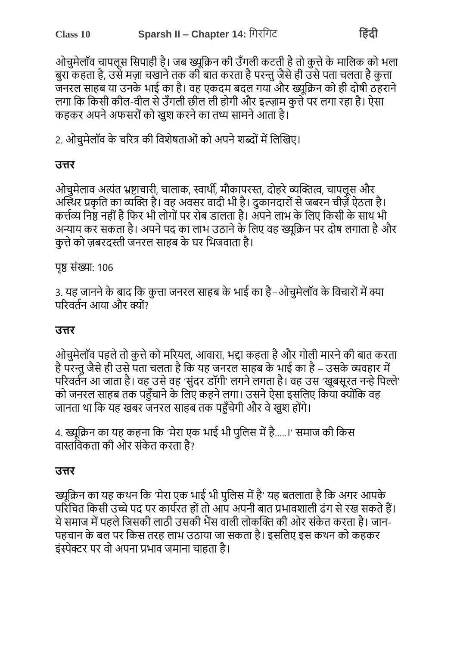ओचुमेलॉव चापलूस सिपाही है। जब ख्यूक्रिन की उँगली कटती है तो कूत्ते के मालिक को भला बुरा कहता है, उसे मज़ा चखाने तक की बात करता है परन्तु जैसे ही उसे पता चलता है कुत्ता जनरल साहब या उनके भाई का है। वह एकदम बदल गया और ख्यक्रिन को ही दोषी ठहराने लगा कि किसी कील-वील से उँगली छील ली होगी और इल्ज़ाम कुत्ते पर लगा रहा है। ऐसा कहकर अपने अफसरों को खश करने का तथ्य सामने आता है।

2. ओचुमेलॉव के चरित्र की विशेषताओं को अपने शब्दों में लिखिए।

#### उत्तर

ओचमेलाव अत्यंत भ्रष्टाचारी, चालाक, स्वार्थी, मौकापरस्त, दोहरे व्यक्तित्व, चापलस और अस्थिर प्रकृति का व्यक्ति है। वह अवसर वादी भी है। दुकानदारों से जबरन चीज़ें ऐठता है। कर्त्तव्य निष्ठ नहीं है फिर भी लोगों पर रोब डालता है। अपने लाभ के लिए किसी के साथ भी अन्याय कर सकता है। अपने पद का लाभ उठाने के लिए वह ख्यक्रिन पर दोष लगाता है और कृत्ते को ज़बरदस्ती जनरल साहब के घर भिजवाता है।

पुष्ठ संख्या: 106

3. यह जानने के बाद कि कुत्ता जनरल साहब के भाई का है–ओचुमेलॉव के विचारों में क्या परिवर्तन आया और क्यों?

#### उत्तर

ओचुमेलॉव पहले तो कुत्ते को मरियल, आवारा, भद्दा कहता है और गोली मारने की बात करता है परन्तु जैसे ही उसे पता चलता है कि यह जनरल साहब के भाई का है – उसके व्यवहार में परिवर्तन आ जाता है। वह उसे वह 'संदर डॉगी' लगने लगता है। वह उस 'खुबसूरत नन्हे पिल्ले' को जनरल साहब तक पहुँचाने के लिए कहने लगा। उसने ऐसा इसलिए किया क्योंकि वह जानता था कि यह खबर जनरल साहब तक पहुँचेगी और वे खुश होंगे।

4. ख्युक्रिन का यह कहना कि 'मेरा एक भाई भी पुलिस में है.....।' समाज की किस वास्तविकता की ओर संकेत करता है?

#### उत्तर

ख्यूक्रिन का यह कथन कि 'मेरा एक भाई भी पुलिस में है' यह बतलाता है कि अगर आपके परिचित किसी उच्चे पद पर कार्यरत हों तो आप अपनी बात प्रभावशाली ढंग से रख सकते हैं। ये समाज में पहले जिसकी लाठी उसकी भैंस वाली लोकक्ति की ओर संकेत करता है। जान-पहचान के बल पर किस तरह लाभ उठाया जा सकता है। इसलिए इस कथन को कहकर इंस्पेक्टर पर वो अपना प्रभाव जमाना चाहता है।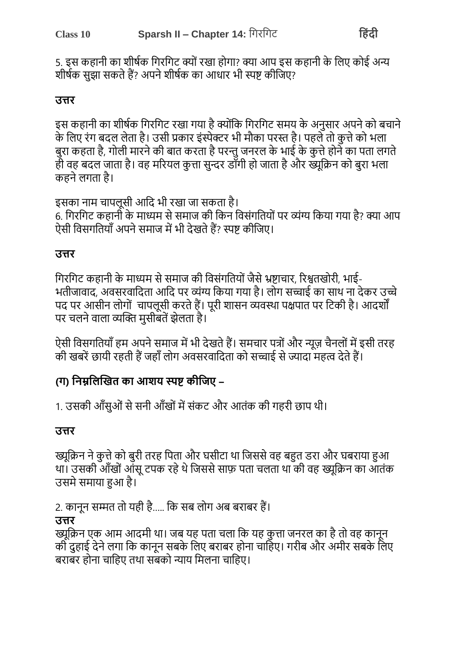5. इस कहानी का शीर्षक गिरगिट क्यों रखा होगा? क्या आप इस कहानी के लिए कोई अन्य शीर्षक सुझा सकते हैं? अपने शीर्षक का आधार भी स्पष्ट कीजिए?

#### उत्तर

इस कहानी का शीर्षक गिरगिट रखा गया है क्योंकि गिरगिट समय के अनुसार अपने को बचाने के लिए रंग बदल लेता है। उसी प्रकार इंस्पेक्टर भी मौका परस्त है। पहले तो कत्ते को भला बुरा कहता है, गोली मारने की बात करता है परन्तु जनरल के भाई के कुत्ते होने का पता लगते ही वह बदल जाता है। वह मरियल कुत्ता सुन्दर डाँगी हो जाता है और ख्यूक्रिन को बुरा भला कहने लगता है।

इसका नाम चापलूसी आदि भी रखा जा सकता है। 6. गिरगिट कहानी के माध्यम से समाज की किन विसंगतियों पर व्यंग्य किया गया है? क्या आप ऐसी विसगतियाँ अपने समाज में भी देखते हैं? स्पष्ट कीजिए।

#### उत्तर

गिरगिट कहानी के माध्यम से समाज की विसंगतियों जैसे भ्रष्टाचार, रिश्वतखोरी, भाई-भतीजावाद, अवसरवादिता आदि पर व्यंग्य किया गया है। लोग सच्चाई का साथ ना देकर उच्चे पद पर आसीन लोगों वापलूसी करते हैं। पूरी शासन व्यवस्था पक्षपात पर टिकी है। आदर्शों पर चलने वाला व्यक्ति मुसीबतें झेलता है।

ऐसी विसगतियाँ हम अपने समाज में भी देखते हैं। समचार पत्रों और न्यूज़ चैनलों में इसी तरह की खबरें छायी रहती हैं जहाँ लोग अवसरवादिता को सच्चाई से ज्यादा महत्व देते हैं।

#### (ग) निम्नलिखित का आशय स्पष्ट कीजिए –

1. उसकी आँसुओं से सनी आँखों में संकट और आतंक की गहरी छाप थी।

#### उत्तर

ख्यूक्रिन ने कुत्ते को बुरी तरह पिता और घसीटा था जिससे वह बहुत डरा और घबराया हुआ था। उसकी आँखों आँसू टपक रहे थे जिससे साफ़ पता चलता था की वह ख्यूक्रिन का आँतंक उसमे समाया हुआ है।

2. कानून सम्मत तो यही है..... कि सब लोग अब बराबर हैं।

#### उत्तर

ख्यक्रिन एक आम आदमी था। जब यह पता चला कि यह कत्ता जनरल का है तो वह कानन की दहाई देने लगा कि कानून सबके लिए बराबर होना चाहिए। गरीब और अमीर सबके लिए बराबर होना चाहिए तथा संबंको न्याय मिलना चाहिए।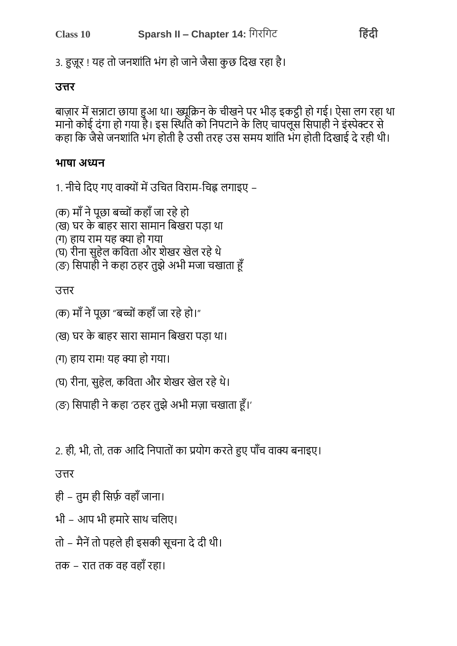# तक – रात तक वह वहाँ रहा।

# भी - आप भी हमारे साथ चलिए।

तो – मैनें तो पहले ही इसकी सूचना दे दी थी।

ही - तुम ही सिर्फ़ वहाँ जाना।

# उत्तर

2. ही, भी, तो, तक आदि निपातों का प्रयोग करते हुए पाँच वाक्य बनाइए।

# (ङ) सिपाही ने कहा 'ठहर तुझे अभी मज़ा चखाता हूँ।'

## (घ) रीना, सुहेल, कविता और शेखर खेल रहे थे।

# (ग) हाय राम! यह क्या हो गया।

## (ख) घर के बाहर सारा सामान बिखरा पड़ा था।

## (क) माँ ने पछा "बच्चों कहाँ जा रहे हो।"

## उत्तर

#### (क) माँ ने पूछा बच्चों कहाँ जा रहे हो (ख) घर के बाहर सारा सामान बिखरा पड़ा था (ग) हाय राम यह क्या हो गया (घ) रीना सहेल कविता और शेखर खेल रहे थे (ङ) सिपाही ने कहा ठहर तुझे अभी मजा चखाता हूँ

## 1. नीचे दिए गए वाक्यों में उचित विराम-चिह्न लगाइए –

## भाषा अध्यन

बाज़ार में सन्नाटा छाया हुआ था। ख्यूक्रिन के चीखने पर भीड़ इकट्ठी हो गई। ऐसा लग रहा था मानो कोई दंगा हो गया है। इस स्थिति को निपटाने के लिए चापलूस सिपाही ने इंस्पेक्टर से कहा कि जैसे जनशांति भंग होती है उसी तरह उस समय शांति भंग होती दिखाई दे रही थी।

### उत्तर

3. हज़ूर ! यह तो जनशांति भंग हो जाने जैसा कुछ दिख रहा है।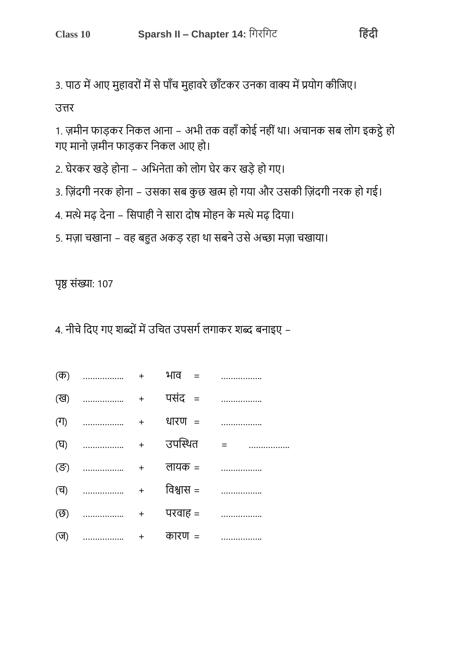3. पाठ में आए मुहावरों में से पाँच मुहावरे छाँटकर उनका वाक्य में प्रयोग कीजिए।

उत्तर

1. ज़मीन फाड़कर निकल आना – अभी तक वहाँ कोई नहीं था। अचानक सब लोग इकट्ठे हो गए मानो ज़मीन फाड़कर निकल आए हो।

2. घेरकर खड़े होना – अभिनेता को लोग घेर कर खड़े हो गए।

- 3. ज़िंदगी नरक होना उसका सब कुछ खत्म हो गया और उसकी ज़िंदगी नरक हो गई।
- 4. मत्थे मढ देना सिपाही ने सारा दोष मोहन के मत्थे मढ दिया।
- 5. मज़ा चखाना वह बहुत अकड़ रहा था सबने उसे अच्छा मज़ा चखाया।

पृष्ठ संख्या: 107

4. नीचे दिए गए शब्दों में उचित उपसर्ग लगाकर शब्द बनाइए –

|  | $(\overline{\Phi})$ + $\overline{4}$ + $\overline{4}$ = |                  |
|--|---------------------------------------------------------|------------------|
|  |                                                         | ख)  + पसंद =     |
|  |                                                         |                  |
|  |                                                         | (घ)  + उपस्थित = |
|  |                                                         | (ङ)  + लायक =    |
|  |                                                         | (च)  + विश्वास = |
|  | $(\overline{\mathfrak{G}})$ + परवाह =                   |                  |
|  | $(\overline{v})$ + कारण =                               |                  |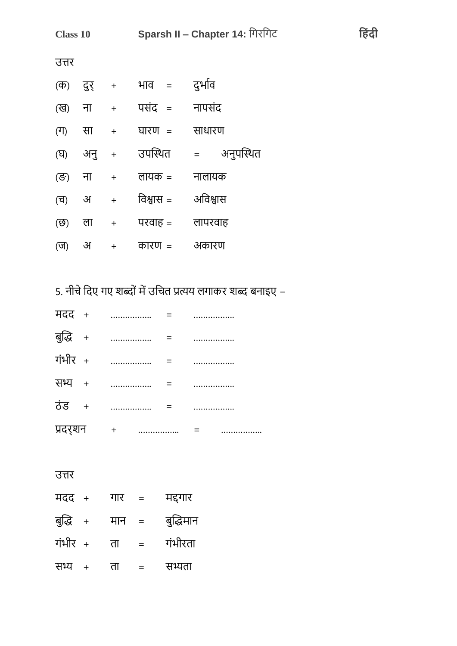| <b>Class 10</b>             |          | Sparsh II - Chapter 14: गिरगिट   |               |             |
|-----------------------------|----------|----------------------------------|---------------|-------------|
| उत्तर                       |          |                                  |               |             |
| (ক)                         |          |                                  | दुर् + भाव =  | दुर्भाव     |
|                             | (ख) ना + |                                  | पसंद = नापसंद |             |
| $(\top)$                    | सा       | $+$                              | घारण =        | साधारण      |
| (घ)                         |          |                                  | अनु + उपस्थित | = अनुपस्थित |
| (ङ)                         |          | ना +                             | लायक =        | नालायक      |
| $(\overline{d})$            | अ        | $\begin{array}{c} + \end{array}$ | विश्वास =     | अविश्वास    |
| $(\overline{\mathfrak{G}})$ | ला       | $+$                              | परवाह =       | लापरवाह     |
| (ज)                         | अ        | $\ddot{}$                        | कारण =        | अकारण       |

हिंदी

5. नीचे दिए गए शब्दों में उचित प्रत्यय लगाकर शब्द बनाइए –

| मदद +    | .        |  |  |
|----------|----------|--|--|
| बुद्धि + |          |  |  |
| गंभीर +  | .        |  |  |
| सभ्य +   | .        |  |  |
| ਨਂਤ +    | .        |  |  |
| प्रदर्शन | $+$<br>. |  |  |

| मदद +    |     | गार | $\equiv$ | मद्दगार   |
|----------|-----|-----|----------|-----------|
| बुद्धि + |     | मान | $=$      | बुद्धिमान |
| गंभीर +  |     | ता  | $=$      | गंभीरता   |
| सभ्य     | $+$ | ता  | $=$      | सभ्यता    |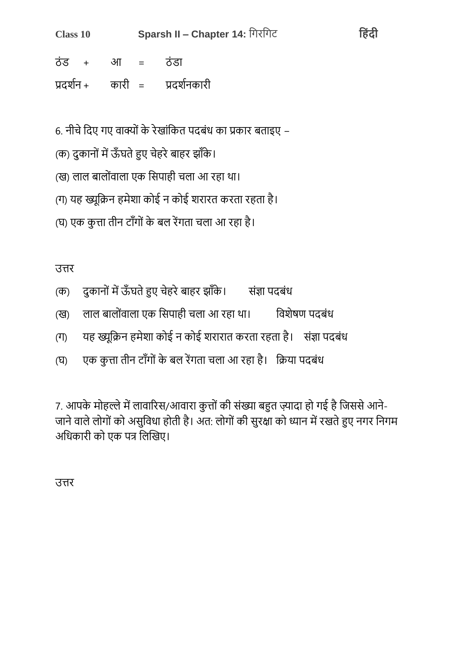| <b>Class 10</b> | Sparsh II - Chapter 14: गिरगिट |                                |  |
|-----------------|--------------------------------|--------------------------------|--|
| ठंड + आ =       |                                | ् <i>त</i> डा                  |  |
|                 |                                | प्रदर्शन + कारी = प्रदर्शनकारी |  |

हिंदी

6. नीचे दिए गए वाक्यों के रेखांकित पदबंध का प्रकार बताइए –

- (क) दुकानों में ऊँघते हुए चेहरे बाहर झाँके।
- (ख) लाल बालोंवाला एक सिपाही चला आ रहा था।
- (ग) यह ख्यूक्रिन हमेशा कोई न कोई शरारत करता रहता है।
- (घ) एक कृत्ता तीन टाँगों के बल रेंगता चला आ रहा है।

उत्तर

- दुकानों में ऊँघते हुए चेहरे बाहर झाँके। संज्ञा पदबंध  $(\overline{\Phi})$
- लाल बालोंवाला एक सिपाही चला आ रहा था। विशेषण पदबंध  $(39)$
- यह ख्यूक्रिन हमेशा कोई न कोई शरारात करता रहता है। संज्ञा पदबंध  $(T)$
- एक कुत्ता तीन टाँगों के बल रेंगता चला आ रहा है। क्रिया पदबंध  $(\nabla)$

7. आपके मोहल्ले में लावारिस/आवारा कुत्तों की संख्या बहुत ज़्यादा हो गई है जिससे आने-जाने वाले लोगों को असुविधा होती है। अत: लोगों की सुरक्षा को ध्यान में रखते हुए नगर निगम अधिकारी को एक पत्र लिखिए।